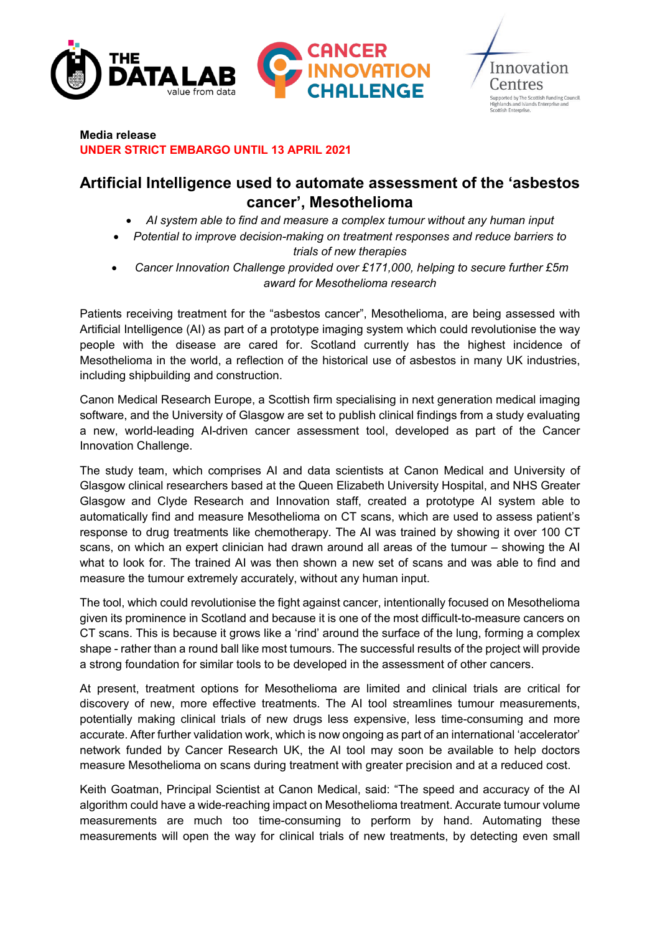



### **Media release UNDER STRICT EMBARGO UNTIL 13 APRIL 2021**

# **Artificial Intelligence used to automate assessment of the 'asbestos cancer', Mesothelioma**

- *AI system able to find and measure a complex tumour without any human input*
- *Potential to improve decision-making on treatment responses and reduce barriers to trials of new therapies*

• *Cancer Innovation Challenge provided over £171,000, helping to secure further £5m award for Mesothelioma research* 

Patients receiving treatment for the "asbestos cancer", Mesothelioma, are being assessed with Artificial Intelligence (AI) as part of a prototype imaging system which could revolutionise the way people with the disease are cared for. Scotland currently has the highest incidence of Mesothelioma in the world, a reflection of the historical use of asbestos in many UK industries, including shipbuilding and construction.

Canon Medical Research Europe, a Scottish firm specialising in next generation medical imaging software, and the University of Glasgow are set to publish clinical findings from a study evaluating a new, world-leading AI-driven cancer assessment tool, developed as part of the Cancer Innovation Challenge.

The study team, which comprises AI and data scientists at Canon Medical and University of Glasgow clinical researchers based at the Queen Elizabeth University Hospital, and NHS Greater Glasgow and Clyde Research and Innovation staff, created a prototype AI system able to automatically find and measure Mesothelioma on CT scans, which are used to assess patient's response to drug treatments like chemotherapy. The AI was trained by showing it over 100 CT scans, on which an expert clinician had drawn around all areas of the tumour – showing the AI what to look for. The trained AI was then shown a new set of scans and was able to find and measure the tumour extremely accurately, without any human input.

The tool, which could revolutionise the fight against cancer, intentionally focused on Mesothelioma given its prominence in Scotland and because it is one of the most difficult-to-measure cancers on CT scans. This is because it grows like a 'rind' around the surface of the lung, forming a complex shape - rather than a round ball like most tumours. The successful results of the project will provide a strong foundation for similar tools to be developed in the assessment of other cancers.

At present, treatment options for Mesothelioma are limited and clinical trials are critical for discovery of new, more effective treatments. The AI tool streamlines tumour measurements, potentially making clinical trials of new drugs less expensive, less time-consuming and more accurate. After further validation work, which is now ongoing as part of an international 'accelerator' network funded by Cancer Research UK, the AI tool may soon be available to help doctors measure Mesothelioma on scans during treatment with greater precision and at a reduced cost.

Keith Goatman, Principal Scientist at Canon Medical, said: "The speed and accuracy of the AI algorithm could have a wide-reaching impact on Mesothelioma treatment. Accurate tumour volume measurements are much too time-consuming to perform by hand. Automating these measurements will open the way for clinical trials of new treatments, by detecting even small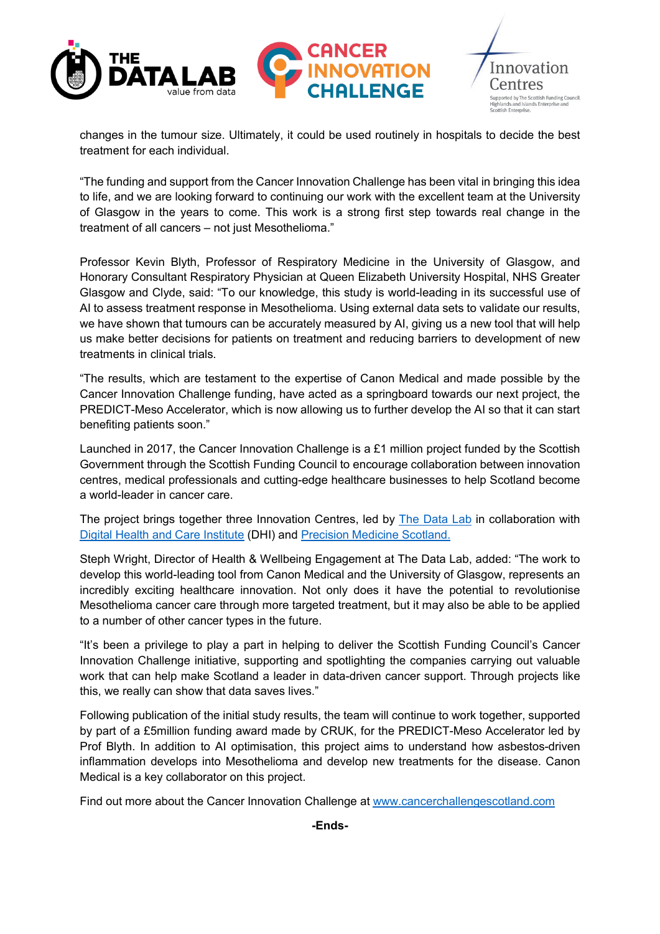

changes in the tumour size. Ultimately, it could be used routinely in hospitals to decide the best treatment for each individual.

"The funding and support from the Cancer Innovation Challenge has been vital in bringing this idea to life, and we are looking forward to continuing our work with the excellent team at the University of Glasgow in the years to come. This work is a strong first step towards real change in the treatment of all cancers – not just Mesothelioma."

Professor Kevin Blyth, Professor of Respiratory Medicine in the University of Glasgow, and Honorary Consultant Respiratory Physician at Queen Elizabeth University Hospital, NHS Greater Glasgow and Clyde, said: "To our knowledge, this study is world-leading in its successful use of AI to assess treatment response in Mesothelioma. Using external data sets to validate our results, we have shown that tumours can be accurately measured by AI, giving us a new tool that will help us make better decisions for patients on treatment and reducing barriers to development of new treatments in clinical trials.

"The results, which are testament to the expertise of Canon Medical and made possible by the Cancer Innovation Challenge funding, have acted as a springboard towards our next project, the PREDICT-Meso Accelerator, which is now allowing us to further develop the AI so that it can start benefiting patients soon."

Launched in 2017, the Cancer Innovation Challenge is a £1 million project funded by the Scottish Government through the Scottish Funding Council to encourage collaboration between innovation centres, medical professionals and cutting-edge healthcare businesses to help Scotland become a world-leader in cancer care.

The project brings together three Innovation Centres, led by [The Data Lab](https://www.thedatalab.com/skills-talent/) in collaboration with [Digital Health and Care Institute](http://www.dhi-scotland.com/) (DHI) and [Precision Medicine Scotland.](https://www.precisionmedicinescotland.com/)

Steph Wright, Director of Health & Wellbeing Engagement at The Data Lab, added: "The work to develop this world-leading tool from Canon Medical and the University of Glasgow, represents an incredibly exciting healthcare innovation. Not only does it have the potential to revolutionise Mesothelioma cancer care through more targeted treatment, but it may also be able to be applied to a number of other cancer types in the future.

"It's been a privilege to play a part in helping to deliver the Scottish Funding Council's Cancer Innovation Challenge initiative, supporting and spotlighting the companies carrying out valuable work that can help make Scotland a leader in data-driven cancer support. Through projects like this, we really can show that data saves lives."

Following publication of the initial study results, the team will continue to work together, supported by part of a £5million funding award made by CRUK, for the PREDICT-Meso Accelerator led by Prof Blyth. In addition to AI optimisation, this project aims to understand how asbestos-driven inflammation develops into Mesothelioma and develop new treatments for the disease. Canon Medical is a key collaborator on this project.

Find out more about the Cancer Innovation Challenge at [www.cancerchallengescotland.com](http://www.cancerchallengescotland.com/)